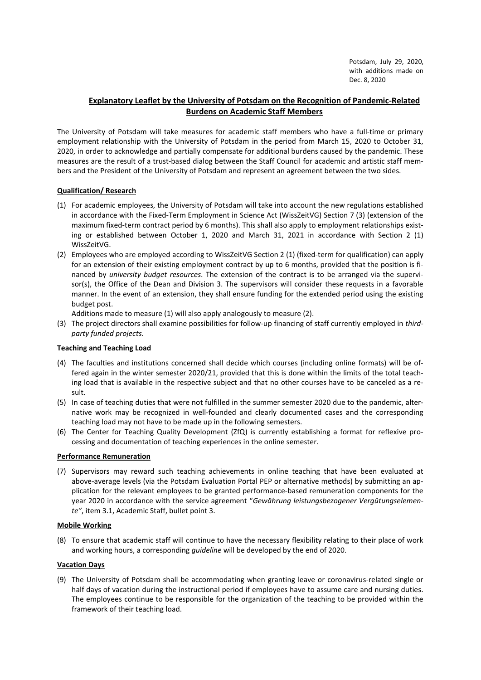Potsdam, July 29, 2020, with additions made on Dec. 8, 2020

# Explanatory Leaflet by the University of Potsdam on the Recognition of Pandemic-Related Burdens on Academic Staff Members

The University of Potsdam will take measures for academic staff members who have a full-time or primary employment relationship with the University of Potsdam in the period from March 15, 2020 to October 31, 2020, in order to acknowledge and partially compensate for additional burdens caused by the pandemic. These measures are the result of a trust-based dialog between the Staff Council for academic and artistic staff members and the President of the University of Potsdam and represent an agreement between the two sides.

## Qualification/ Research

- (1) For academic employees, the University of Potsdam will take into account the new regulations established in accordance with the Fixed-Term Employment in Science Act (WissZeitVG) Section 7 (3) (extension of the maximum fixed-term contract period by 6 months). This shall also apply to employment relationships existing or established between October 1, 2020 and March 31, 2021 in accordance with Section 2 (1) WissZeitVG.
- (2) Employees who are employed according to WissZeitVG Section 2 (1) (fixed-term for qualification) can apply for an extension of their existing employment contract by up to 6 months, provided that the position is financed by university budget resources. The extension of the contract is to be arranged via the supervisor(s), the Office of the Dean and Division 3. The supervisors will consider these requests in a favorable manner. In the event of an extension, they shall ensure funding for the extended period using the existing budget post.

Additions made to measure (1) will also apply analogously to measure (2).

(3) The project directors shall examine possibilities for follow-up financing of staff currently employed in thirdparty funded projects.

### Teaching and Teaching Load

- (4) The faculties and institutions concerned shall decide which courses (including online formats) will be offered again in the winter semester 2020/21, provided that this is done within the limits of the total teaching load that is available in the respective subject and that no other courses have to be canceled as a result.
- (5) In case of teaching duties that were not fulfilled in the summer semester 2020 due to the pandemic, alternative work may be recognized in well-founded and clearly documented cases and the corresponding teaching load may not have to be made up in the following semesters.
- (6) The Center for Teaching Quality Development (ZfQ) is currently establishing a format for reflexive processing and documentation of teaching experiences in the online semester.

### Performance Remuneration

(7) Supervisors may reward such teaching achievements in online teaching that have been evaluated at above-average levels (via the Potsdam Evaluation Portal PEP or alternative methods) by submitting an application for the relevant employees to be granted performance-based remuneration components for the year 2020 in accordance with the service agreement "Gewährung leistungsbezogener Vergütungselemente", item 3.1, Academic Staff, bullet point 3.

### Mobile Working

(8) To ensure that academic staff will continue to have the necessary flexibility relating to their place of work and working hours, a corresponding guideline will be developed by the end of 2020.

### Vacation Days

(9) The University of Potsdam shall be accommodating when granting leave or coronavirus-related single or half days of vacation during the instructional period if employees have to assume care and nursing duties. The employees continue to be responsible for the organization of the teaching to be provided within the framework of their teaching load.